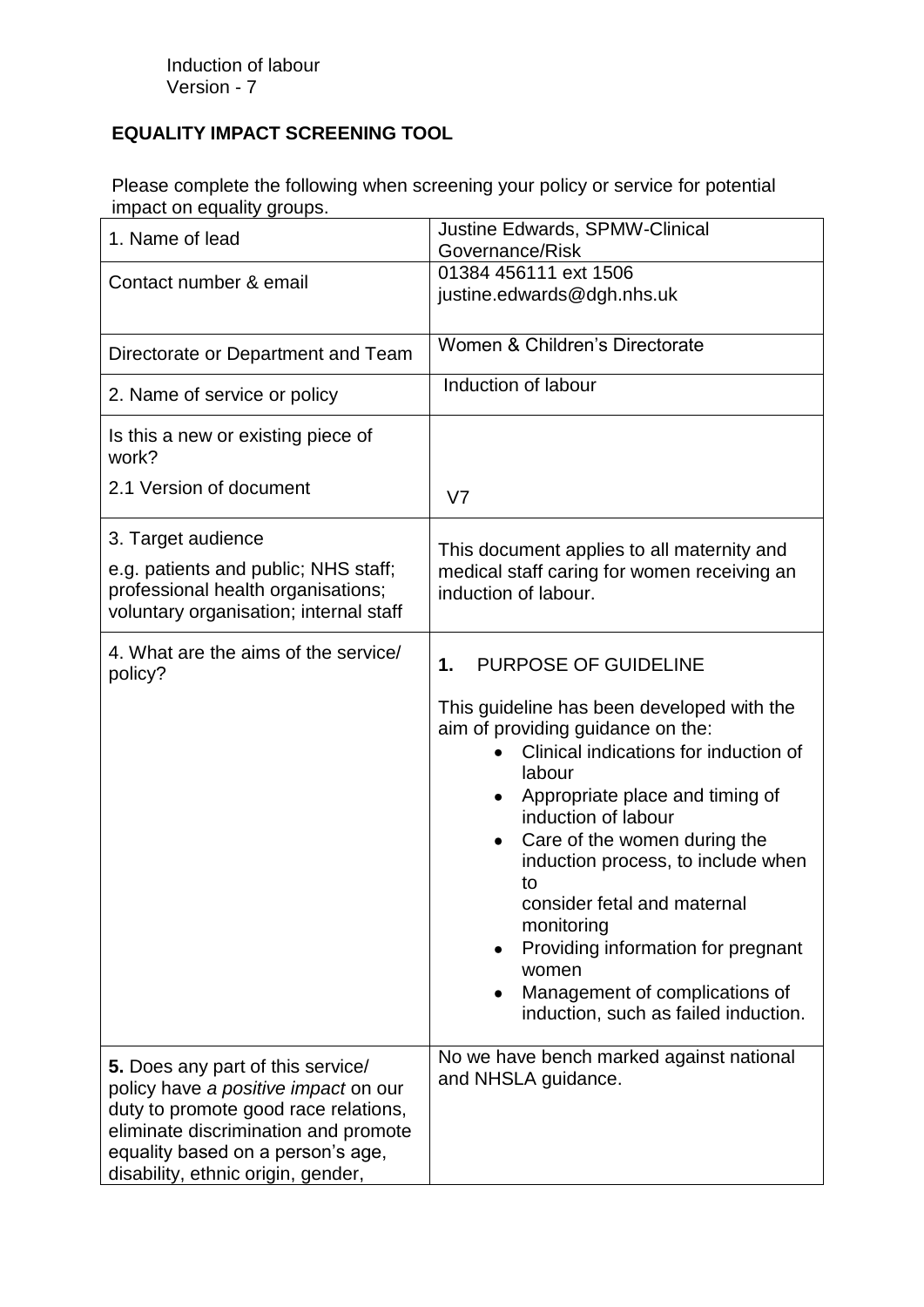## **EQUALITY IMPACT SCREENING TOOL**

Please complete the following when screening your policy or service for potential impact on equality groups.

| 1. Name of lead                                                                                                                                                                                                                      | <b>Justine Edwards, SPMW-Clinical</b><br>Governance/Risk                                                                                                                                                                                                                                                                                                                                                                                                                     |
|--------------------------------------------------------------------------------------------------------------------------------------------------------------------------------------------------------------------------------------|------------------------------------------------------------------------------------------------------------------------------------------------------------------------------------------------------------------------------------------------------------------------------------------------------------------------------------------------------------------------------------------------------------------------------------------------------------------------------|
| Contact number & email                                                                                                                                                                                                               | 01384 456111 ext 1506<br>justine.edwards@dgh.nhs.uk                                                                                                                                                                                                                                                                                                                                                                                                                          |
| Directorate or Department and Team                                                                                                                                                                                                   | Women & Children's Directorate                                                                                                                                                                                                                                                                                                                                                                                                                                               |
| 2. Name of service or policy                                                                                                                                                                                                         | Induction of labour                                                                                                                                                                                                                                                                                                                                                                                                                                                          |
| Is this a new or existing piece of<br>work?                                                                                                                                                                                          |                                                                                                                                                                                                                                                                                                                                                                                                                                                                              |
| 2.1 Version of document                                                                                                                                                                                                              | V <sub>7</sub>                                                                                                                                                                                                                                                                                                                                                                                                                                                               |
| 3. Target audience<br>e.g. patients and public; NHS staff;<br>professional health organisations;<br>voluntary organisation; internal staff                                                                                           | This document applies to all maternity and<br>medical staff caring for women receiving an<br>induction of labour.                                                                                                                                                                                                                                                                                                                                                            |
| 4. What are the aims of the service/<br>policy?                                                                                                                                                                                      | PURPOSE OF GUIDELINE<br>1.<br>This guideline has been developed with the<br>aim of providing guidance on the:<br>Clinical indications for induction of<br>labour<br>Appropriate place and timing of<br>induction of labour<br>Care of the women during the<br>induction process, to include when<br>to<br>consider fetal and maternal<br>monitoring<br>Providing information for pregnant<br>women<br>Management of complications of<br>induction, such as failed induction. |
| 5. Does any part of this service/<br>policy have a positive impact on our<br>duty to promote good race relations,<br>eliminate discrimination and promote<br>equality based on a person's age,<br>disability, ethnic origin, gender, | No we have bench marked against national<br>and NHSLA guidance.                                                                                                                                                                                                                                                                                                                                                                                                              |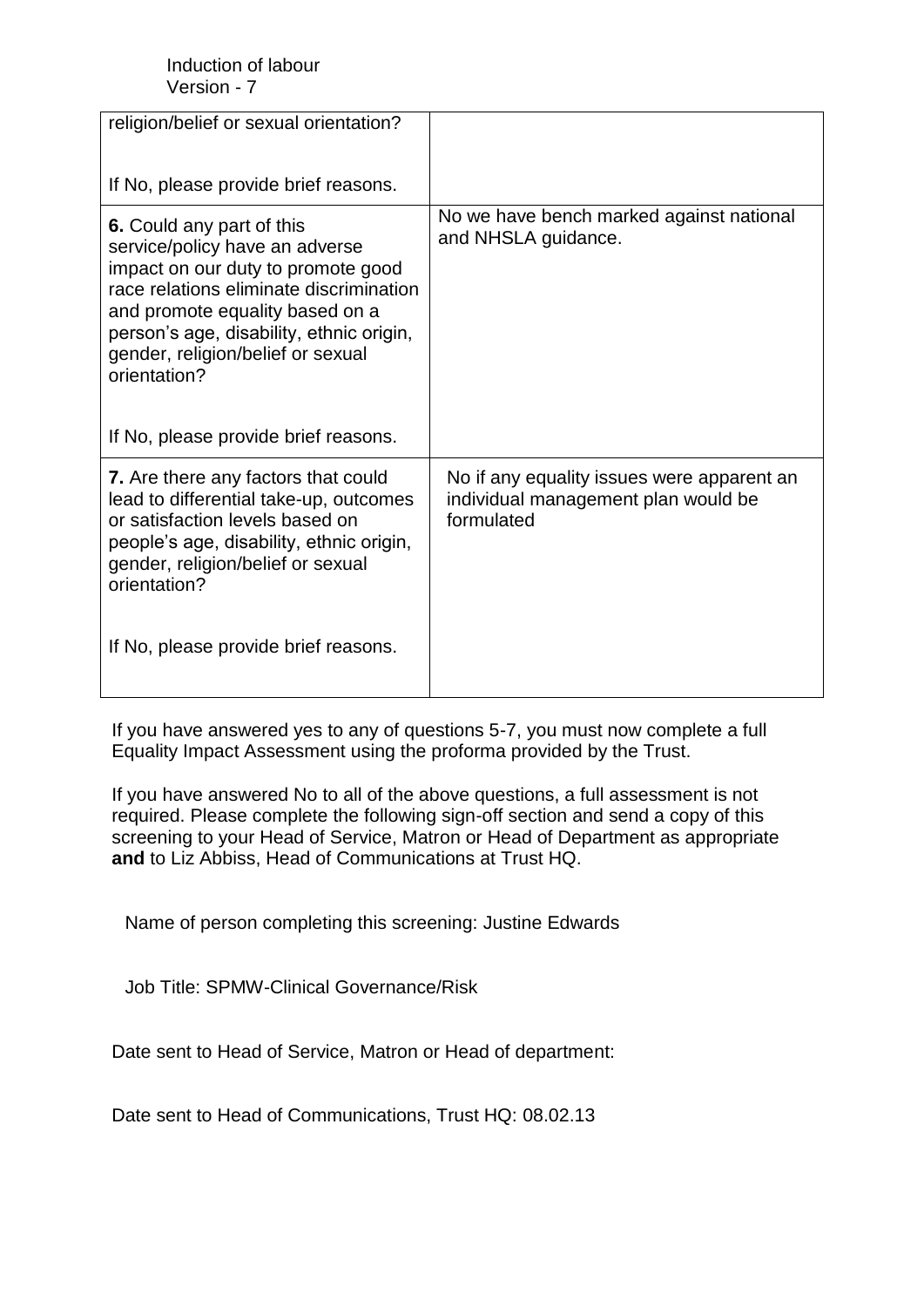| religion/belief or sexual orientation?                                                                                                                                                                                                                                           |                                                                                                 |
|----------------------------------------------------------------------------------------------------------------------------------------------------------------------------------------------------------------------------------------------------------------------------------|-------------------------------------------------------------------------------------------------|
| If No, please provide brief reasons.                                                                                                                                                                                                                                             |                                                                                                 |
| 6. Could any part of this<br>service/policy have an adverse<br>impact on our duty to promote good<br>race relations eliminate discrimination<br>and promote equality based on a<br>person's age, disability, ethnic origin,<br>gender, religion/belief or sexual<br>orientation? | No we have bench marked against national<br>and NHSLA guidance.                                 |
| If No, please provide brief reasons.                                                                                                                                                                                                                                             |                                                                                                 |
| 7. Are there any factors that could<br>lead to differential take-up, outcomes<br>or satisfaction levels based on<br>people's age, disability, ethnic origin,<br>gender, religion/belief or sexual<br>orientation?                                                                | No if any equality issues were apparent an<br>individual management plan would be<br>formulated |
| If No, please provide brief reasons.                                                                                                                                                                                                                                             |                                                                                                 |

If you have answered yes to any of questions 5-7, you must now complete a full Equality Impact Assessment using the proforma provided by the Trust.

If you have answered No to all of the above questions, a full assessment is not required. Please complete the following sign-off section and send a copy of this screening to your Head of Service, Matron or Head of Department as appropriate **and** to Liz Abbiss, Head of Communications at Trust HQ.

Name of person completing this screening: Justine Edwards

Job Title: SPMW-Clinical Governance/Risk

Date sent to Head of Service, Matron or Head of department:

Date sent to Head of Communications, Trust HQ: 08.02.13